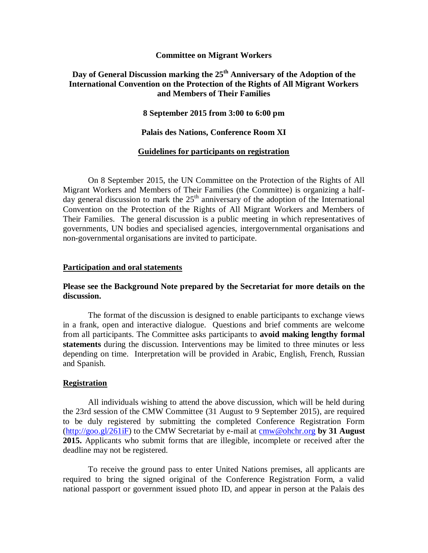## **Committee on Migrant Workers**

# **Day of General Discussion marking the 25th Anniversary of the Adoption of the International Convention on the Protection of the Rights of All Migrant Workers and Members of Their Families**

**8 September 2015 from 3:00 to 6:00 pm**

**Palais des Nations, Conference Room XI**

## **Guidelines for participants on registration**

On 8 September 2015, the UN Committee on the Protection of the Rights of All Migrant Workers and Members of Their Families (the Committee) is organizing a halfday general discussion to mark the  $25<sup>th</sup>$  anniversary of the adoption of the International Convention on the Protection of the Rights of All Migrant Workers and Members of Their Families. The general discussion is a public meeting in which representatives of governments, UN bodies and specialised agencies, intergovernmental organisations and non-governmental organisations are invited to participate.

#### **Participation and oral statements**

# **Please see the Background Note prepared by the Secretariat for more details on the discussion.**

The format of the discussion is designed to enable participants to exchange views in a frank, open and interactive dialogue. Questions and brief comments are welcome from all participants. The Committee asks participants to **avoid making lengthy formal statements** during the discussion. Interventions may be limited to three minutes or less depending on time. Interpretation will be provided in Arabic, English, French, Russian and Spanish.

#### **Registration**

All individuals wishing to attend the above discussion, which will be held during the 23rd session of the CMW Committee (31 August to 9 September 2015), are required to be duly registered by submitting the completed Conference Registration Form [\(http://goo.gl/261iF\)](http://goo.gl/261iF) to the CMW Secretariat by e-mail at [cmw@ohchr.org](mailto:cmw@ohchr.org) **by 31 August 2015.** Applicants who submit forms that are illegible, incomplete or received after the deadline may not be registered.

To receive the ground pass to enter United Nations premises, all applicants are required to bring the signed original of the Conference Registration Form, a valid national passport or government issued photo ID, and appear in person at the Palais des